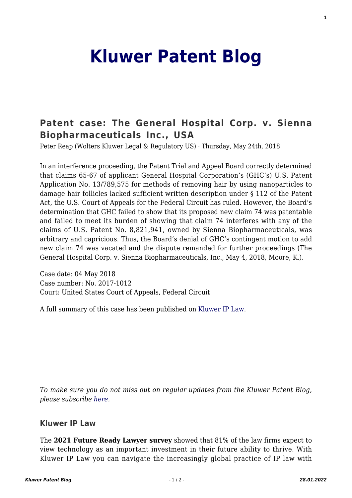## **[Kluwer Patent Blog](http://patentblog.kluweriplaw.com/)**

## **[Patent case: The General Hospital Corp. v. Sienna](http://patentblog.kluweriplaw.com/2018/05/24/usa-general-hospital-corp-v-sienna-biopharmaceuticals-inc-united-states-court-appeals-federal-circuit-no-2017-1012-04-may-2018/) [Biopharmaceuticals Inc., USA](http://patentblog.kluweriplaw.com/2018/05/24/usa-general-hospital-corp-v-sienna-biopharmaceuticals-inc-united-states-court-appeals-federal-circuit-no-2017-1012-04-may-2018/)**

Peter Reap (Wolters Kluwer Legal & Regulatory US) · Thursday, May 24th, 2018

In an interference proceeding, the Patent Trial and Appeal Board correctly determined that claims 65-67 of applicant General Hospital Corporation's (GHC's) U.S. Patent Application No. 13/789,575 for methods of removing hair by using nanoparticles to damage hair follicles lacked sufficient written description under § 112 of the Patent Act, the U.S. Court of Appeals for the Federal Circuit has ruled. However, the Board's determination that GHC failed to show that its proposed new claim 74 was patentable and failed to meet its burden of showing that claim 74 interferes with any of the claims of U.S. Patent No. 8,821,941, owned by Sienna Biopharmaceuticals, was arbitrary and capricious. Thus, the Board's denial of GHC's contingent motion to add new claim 74 was vacated and the dispute remanded for further proceedings (The General Hospital Corp. v. Sienna Biopharmaceuticals, Inc., May 4, 2018, Moore, K.).

Case date: 04 May 2018 Case number: No. 2017-1012 Court: United States Court of Appeals, Federal Circuit

A full summary of this case has been published on [Kluwer IP Law.](http://kluweriplaw.com/document/KLI-KPL-ONS-18-19-005)

## **Kluwer IP Law**

The **2021 Future Ready Lawyer survey** showed that 81% of the law firms expect to view technology as an important investment in their future ability to thrive. With Kluwer IP Law you can navigate the increasingly global practice of IP law with

*To make sure you do not miss out on regular updates from the Kluwer Patent Blog, please subscribe [here.](http://patentblog.kluweriplaw.com/newsletter)*